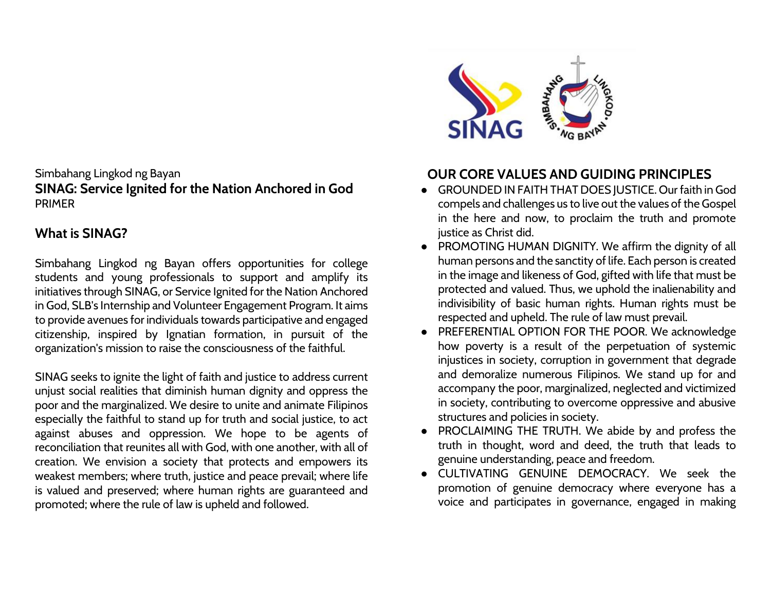#### Simbahang Lingkod ng Bayan **SINAG: Service Ignited for the Nation Anchored in God** PRIMER

# **What is SINAG?**

Simbahang Lingkod ng Bayan offers opportunities for college students and young professionals to support and amplify its initiatives through SINAG, or Service Ignited for the Nation Anchored in God, SLB's Internship and Volunteer Engagement Program. It aims to provide avenues for individuals towards participative and engaged citizenship, inspired by Ignatian formation, in pursuit of the organization's mission to raise the consciousness of the faithful.

SINAG seeks to ignite the light of faith and justice to address current unjust social realities that diminish human dignity and oppress the poor and the marginalized. We desire to unite and animate Filipinos especially the faithful to stand up for truth and social justice, to act against abuses and oppression. We hope to be agents of reconciliation that reunites all with God, with one another, with all of creation. We envision a society that protects and empowers its weakest members; where truth, justice and peace prevail; where life is valued and preserved; where human rights are guaranteed and promoted; where the rule of law is upheld and followed.



# **OUR CORE VALUES AND GUIDING PRINCIPLES**

- GROUNDED IN FAITH THAT DOES JUSTICE. Our faith in God compels and challenges us to live out the values of the Gospel in the here and now, to proclaim the truth and promote justice as Christ did.
- PROMOTING HUMAN DIGNITY. We affirm the dignity of all human persons and the sanctity of life. Each person is created in the image and likeness of God, gifted with life that must be protected and valued. Thus, we uphold the inalienability and indivisibility of basic human rights. Human rights must be respected and upheld. The rule of law must prevail.
- PREFERENTIAL OPTION FOR THE POOR. We acknowledge how poverty is a result of the perpetuation of systemic injustices in society, corruption in government that degrade and demoralize numerous Filipinos. We stand up for and accompany the poor, marginalized, neglected and victimized in society, contributing to overcome oppressive and abusive structures and policies in society.
- PROCLAIMING THE TRUTH. We abide by and profess the truth in thought, word and deed, the truth that leads to genuine understanding, peace and freedom.
- CULTIVATING GENUINE DEMOCRACY. We seek the promotion of genuine democracy where everyone has a voice and participates in governance, engaged in making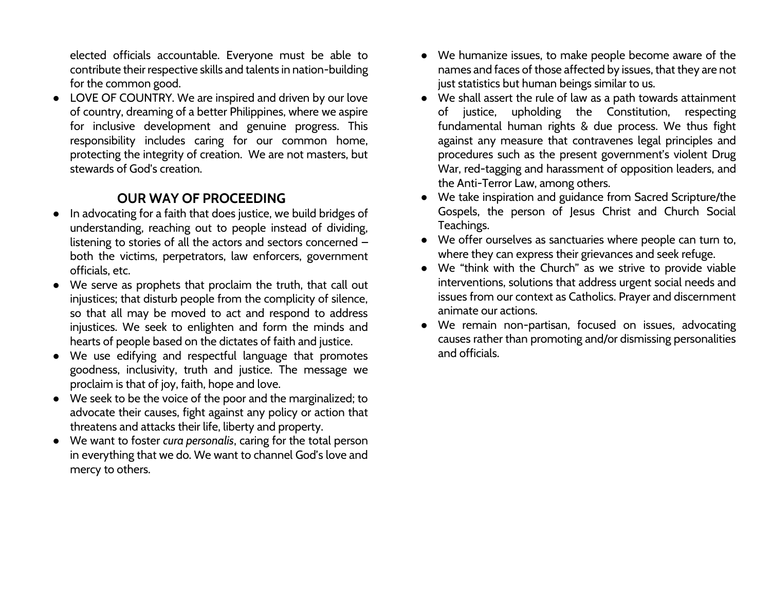elected officials accountable. Everyone must be able to contribute their respective skills and talents in nation-building for the common good.

● LOVE OF COUNTRY. We are inspired and driven by our love of country, dreaming of a better Philippines, where we aspire for inclusive development and genuine progress. This responsibility includes caring for our common home, protecting the integrity of creation. We are not masters, but stewards of God's creation.

### **OUR WAY OF PROCEEDING**

- In advocating for a faith that does justice, we build bridges of understanding, reaching out to people instead of dividing, listening to stories of all the actors and sectors concerned – both the victims, perpetrators, law enforcers, government officials, etc.
- We serve as prophets that proclaim the truth, that call out injustices; that disturb people from the complicity of silence, so that all may be moved to act and respond to address injustices. We seek to enlighten and form the minds and hearts of people based on the dictates of faith and justice.
- We use edifying and respectful language that promotes goodness, inclusivity, truth and justice. The message we proclaim is that of joy, faith, hope and love.
- We seek to be the voice of the poor and the marginalized; to advocate their causes, fight against any policy or action that threatens and attacks their life, liberty and property.
- We want to foster *cura personalis*, caring for the total person in everything that we do. We want to channel God's love and mercy to others.
- We humanize issues, to make people become aware of the names and faces of those affected by issues, that they are not just statistics but human beings similar to us.
- We shall assert the rule of law as a path towards attainment of justice, upholding the Constitution, respecting fundamental human rights & due process. We thus fight against any measure that contravenes legal principles and procedures such as the present government's violent Drug War, red-tagging and harassment of opposition leaders, and the Anti-Terror Law, among others.
- We take inspiration and guidance from Sacred Scripture/the Gospels, the person of Jesus Christ and Church Social Teachings.
- We offer ourselves as sanctuaries where people can turn to, where they can express their grievances and seek refuge.
- We "think with the Church" as we strive to provide viable interventions, solutions that address urgent social needs and issues from our context as Catholics. Prayer and discernment animate our actions.
- We remain non-partisan, focused on issues, advocating causes rather than promoting and/or dismissing personalities and officials.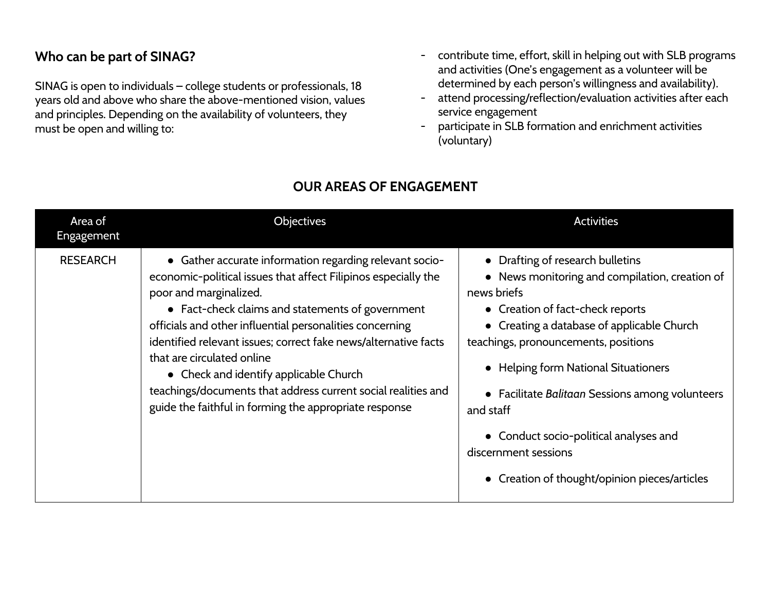#### **Who can be part of SINAG?**

SINAG is open to individuals – college students or professionals, 18 years old and above who share the above-mentioned vision, values and principles. Depending on the availability of volunteers, they must be open and willing to:

- contribute time, effort, skill in helping out with SLB programs and activities (One's engagement as a volunteer will be determined by each person's willingness and availability).
- attend processing/reflection/evaluation activities after each service engagement
- participate in SLB formation and enrichment activities (voluntary)

| Area of<br>Engagement | Objectives                                                                                                                                                                                                                                                                                                                                                                                                                                                                                                                                | <b>Activities</b>                                                                                                                                                                                                                                                                                                                                                                                                                                      |
|-----------------------|-------------------------------------------------------------------------------------------------------------------------------------------------------------------------------------------------------------------------------------------------------------------------------------------------------------------------------------------------------------------------------------------------------------------------------------------------------------------------------------------------------------------------------------------|--------------------------------------------------------------------------------------------------------------------------------------------------------------------------------------------------------------------------------------------------------------------------------------------------------------------------------------------------------------------------------------------------------------------------------------------------------|
| <b>RESEARCH</b>       | • Gather accurate information regarding relevant socio-<br>economic-political issues that affect Filipinos especially the<br>poor and marginalized.<br>• Fact-check claims and statements of government<br>officials and other influential personalities concerning<br>identified relevant issues; correct fake news/alternative facts<br>that are circulated online<br>• Check and identify applicable Church<br>teachings/documents that address current social realities and<br>guide the faithful in forming the appropriate response | • Drafting of research bulletins<br>• News monitoring and compilation, creation of<br>news briefs<br>• Creation of fact-check reports<br>• Creating a database of applicable Church<br>teachings, pronouncements, positions<br>• Helping form National Situationers<br>• Facilitate Balitaan Sessions among volunteers<br>and staff<br>• Conduct socio-political analyses and<br>discernment sessions<br>• Creation of thought/opinion pieces/articles |

# **OUR AREAS OF ENGAGEMENT**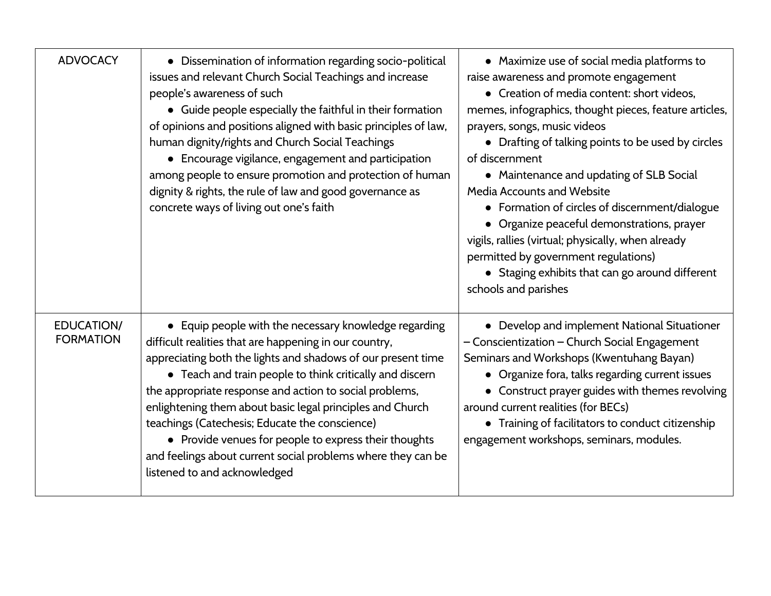| <b>ADVOCACY</b>                       | • Dissemination of information regarding socio-political<br>issues and relevant Church Social Teachings and increase<br>people's awareness of such<br>• Guide people especially the faithful in their formation<br>of opinions and positions aligned with basic principles of law,<br>human dignity/rights and Church Social Teachings<br>• Encourage vigilance, engagement and participation<br>among people to ensure promotion and protection of human<br>dignity & rights, the rule of law and good governance as<br>concrete ways of living out one's faith               | • Maximize use of social media platforms to<br>raise awareness and promote engagement<br>• Creation of media content: short videos,<br>memes, infographics, thought pieces, feature articles,<br>prayers, songs, music videos<br>• Drafting of talking points to be used by circles<br>of discernment<br>• Maintenance and updating of SLB Social<br>Media Accounts and Website<br>• Formation of circles of discernment/dialogue<br>• Organize peaceful demonstrations, prayer<br>vigils, rallies (virtual; physically, when already<br>permitted by government regulations)<br>• Staging exhibits that can go around different<br>schools and parishes |
|---------------------------------------|--------------------------------------------------------------------------------------------------------------------------------------------------------------------------------------------------------------------------------------------------------------------------------------------------------------------------------------------------------------------------------------------------------------------------------------------------------------------------------------------------------------------------------------------------------------------------------|----------------------------------------------------------------------------------------------------------------------------------------------------------------------------------------------------------------------------------------------------------------------------------------------------------------------------------------------------------------------------------------------------------------------------------------------------------------------------------------------------------------------------------------------------------------------------------------------------------------------------------------------------------|
| <b>EDUCATION/</b><br><b>FORMATION</b> | • Equip people with the necessary knowledge regarding<br>difficult realities that are happening in our country,<br>appreciating both the lights and shadows of our present time<br>• Teach and train people to think critically and discern<br>the appropriate response and action to social problems,<br>enlightening them about basic legal principles and Church<br>teachings (Catechesis; Educate the conscience)<br>• Provide venues for people to express their thoughts<br>and feelings about current social problems where they can be<br>listened to and acknowledged | • Develop and implement National Situationer<br>- Conscientization - Church Social Engagement<br>Seminars and Workshops (Kwentuhang Bayan)<br>• Organize fora, talks regarding current issues<br>• Construct prayer guides with themes revolving<br>around current realities (for BECs)<br>• Training of facilitators to conduct citizenship<br>engagement workshops, seminars, modules.                                                                                                                                                                                                                                                                 |